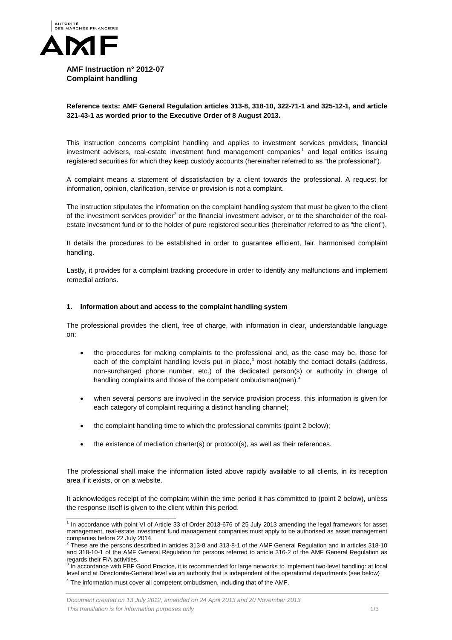

**AMF Instruction n° 2012-07 Complaint handling** 

## **Reference texts: AMF General Regulation articles 313-8, 318-10, 322-71-1 and 325-12-1, and article 321-43-1 as worded prior to the Executive Order of 8 August 2013.**

This instruction concerns complaint handling and applies to investment services providers, financial investment advisers, real-estate investment fund management companies<sup>[1](#page-0-0)</sup> and legal entities issuing registered securities for which they keep custody accounts (hereinafter referred to as "the professional").

A complaint means a statement of dissatisfaction by a client towards the professional. A request for information, opinion, clarification, service or provision is not a complaint.

The instruction stipulates the information on the complaint handling system that must be given to the client of the investment services provider<sup>[2](#page-0-1)</sup> or the financial investment adviser, or to the shareholder of the realestate investment fund or to the holder of pure registered securities (hereinafter referred to as "the client").

It details the procedures to be established in order to guarantee efficient, fair, harmonised complaint handling.

Lastly, it provides for a complaint tracking procedure in order to identify any malfunctions and implement remedial actions.

## **1. Information about and access to the complaint handling system**

The professional provides the client, free of charge, with information in clear, understandable language on:

- the procedures for making complaints to the professional and, as the case may be, those for each of the complaint handling levels put in place, $3$  most notably the contact details (address, non-surcharged phone number, etc.) of the dedicated person(s) or authority in charge of handling complaints and those of the competent ombudsman(men).<sup>[4](#page-0-3)</sup>
- when several persons are involved in the service provision process, this information is given for each category of complaint requiring a distinct handling channel;
- the complaint handling time to which the professional commits (point 2 below);
- the existence of mediation charter(s) or protocol(s), as well as their references.

The professional shall make the information listed above rapidly available to all clients, in its reception area if it exists, or on a website.

It acknowledges receipt of the complaint within the time period it has committed to (point 2 below), unless the response itself is given to the client within this period.

<span id="page-0-0"></span><sup>&</sup>lt;sup>1</sup> In accordance with point VI of Article 33 of Order 2013-676 of 25 July 2013 amending the legal framework for asset management, real-estate investment fund management companies must apply to be authorised as asset management companies before 22 July 2014.<br>
<sup>2</sup> These are the persons described in articles 313-8 and 313-8-1 of the AMF General Regulation and in articles 318-10

<span id="page-0-4"></span><span id="page-0-1"></span>and 318-10-1 of the AMF General Regulation for persons referred to article 316-2 of the AMF General Regulation as regards their FIA activities.

<span id="page-0-3"></span><span id="page-0-2"></span>In accordance with FBF Good Practice, it is recommended for large networks to implement two-level handling: at local level and at Directorate-General level via an authority that is independent of the operational departments (see below) <sup>4</sup> The information must cover all competent ombudsmen, including that of the AMF.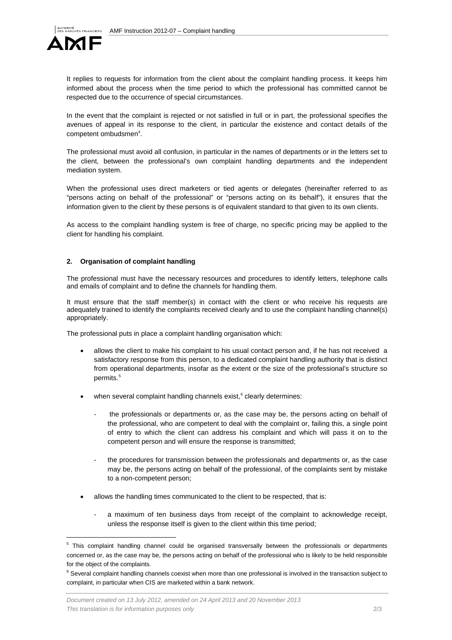

It replies to requests for information from the client about the complaint handling process. It keeps him informed about the process when the time period to which the professional has committed cannot be respected due to the occurrence of special circumstances.

In the event that the complaint is rejected or not satisfied in full or in part, the professional specifies the avenues of appeal in its response to the client, in particular the existence and contact details of the  $competent$  ombudsmen<sup>4</sup>.

The professional must avoid all confusion, in particular in the names of departments or in the letters set to the client, between the professional's own complaint handling departments and the independent mediation system.

When the professional uses direct marketers or tied agents or delegates (hereinafter referred to as "persons acting on behalf of the professional" or "persons acting on its behalf"), it ensures that the information given to the client by these persons is of equivalent standard to that given to its own clients.

As access to the complaint handling system is free of charge, no specific pricing may be applied to the client for handling his complaint.

## **2. Organisation of complaint handling**

The professional must have the necessary resources and procedures to identify letters, telephone calls and emails of complaint and to define the channels for handling them.

It must ensure that the staff member(s) in contact with the client or who receive his requests are adequately trained to identify the complaints received clearly and to use the complaint handling channel(s) appropriately.

The professional puts in place a complaint handling organisation which:

- allows the client to make his complaint to his usual contact person and, if he has not received a satisfactory response from this person, to a dedicated complaint handling authority that is distinct from operational departments, insofar as the extent or the size of the professional's structure so permits.<sup>[5](#page-0-4)</sup>
- when several complaint handling channels exist, $6$  clearly determines:
	- the professionals or departments or, as the case may be, the persons acting on behalf of the professional, who are competent to deal with the complaint or, failing this, a single point of entry to which the client can address his complaint and which will pass it on to the competent person and will ensure the response is transmitted;
	- the procedures for transmission between the professionals and departments or, as the case may be, the persons acting on behalf of the professional, of the complaints sent by mistake to a non-competent person;
- allows the handling times communicated to the client to be respected, that is:
	- a maximum of ten business days from receipt of the complaint to acknowledge receipt. unless the response itself is given to the client within this time period;

<span id="page-1-1"></span><sup>&</sup>lt;sup>5</sup> This complaint handling channel could be organised transversally between the professionals or departments concerned or, as the case may be, the persons acting on behalf of the professional who is likely to be held responsible for the object of the complaints.

<span id="page-1-0"></span> $6$  Several complaint handling channels coexist when more than one professional is involved in the transaction subject to complaint, in particular when CIS are marketed within a bank network.